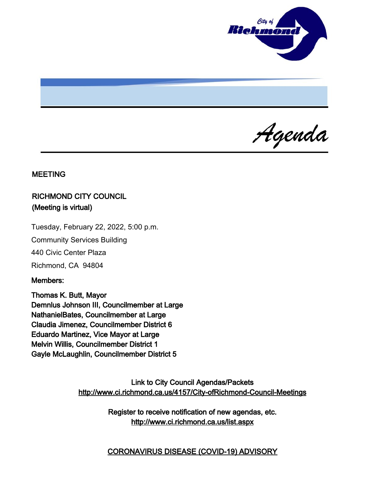

Agenda

#### MEETING

# RICHMOND CITY COUNCIL (Meeting is virtual)

Tuesday, February 22, 2022, 5:00 p.m.

Community Services Building

440 Civic Center Plaza

Richmond, CA 94804

### Members:

Thomas K. Butt, Mayor Demnlus Johnson III, Councilmember at Large NathanielBates, Councilmember at Large Claudia Jimenez, Councilmember District 6 Eduardo Martinez, Vice Mayor at Large Melvin Willis, Councilmember District 1 Gayle McLaughlin, Councilmember District 5

> Link to City Council Agendas/Packets <http://www.ci.richmond.ca.us/4157/City-ofRichmond-Council-Meetings>

> > Register to receive notification of new agendas, etc. <http://www.ci.richmond.ca.us/list.aspx>

> > CORONAVIRUS DISEASE (COVID-19) ADVISORY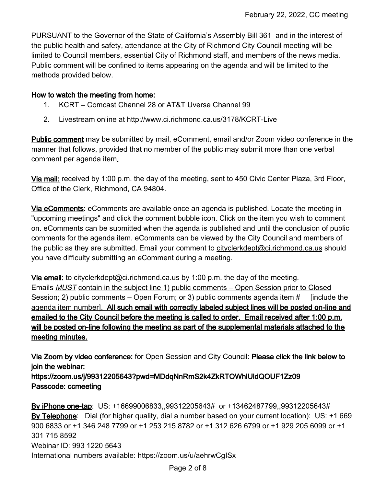PURSUANT to the Governor of the State of California's Assembly Bill 361 and in the interest of the public health and safety, attendance at the City of Richmond City Council meeting will be limited to Council members, essential City of Richmond staff, and members of the news media. Public comment will be confined to items appearing on the agenda and will be limited to the methods provided below.

#### How to watch the meeting from home:

- 1. KCRT Comcast Channel 28 or AT&T Uverse Channel 99
- 2. Livestream online at <http://www.ci.richmond.ca.us/3178/KCRT-Live>

Public comment may be submitted by mail, eComment, email and/or Zoom video conference in the manner that follows, provided that no member of the public may submit more than one verbal comment per agenda item.

Via mail: received by 1:00 p.m. the day of the meeting, sent to 450 Civic Center Plaza, 3rd Floor, Office of the Clerk, Richmond, CA 94804.

Via eComments: eComments are available once an agenda is published. Locate the meeting in "upcoming meetings" and click the comment bubble icon. Click on the item you wish to comment on. eComments can be submitted when the agenda is published and until the conclusion of public comments for the agenda item. eComments can be viewed by the City Council and members of the public as they are submitted. Email your comment to [cityclerkdept@ci.richmond.ca.us](mailto:cityclerkdept@ci.richmond.ca.us) should you have difficulty submitting an eComment during a meeting.

Via email: to [cityclerkdept@ci.richmond.ca.us](mailto:cityclerkdept@ci.richmond.ca.us) by 1:00 p.m. the day of the meeting. Emails MUST contain in the subject line 1) public comments – Open Session prior to Closed Session; 2) public comments – Open Forum; or 3) public comments agenda item # [include the agenda item number]. All such email with correctly labeled subject lines will be posted on-line and emailed to the City Council before the meeting is called to order. Email received after 1:00 p.m. will be posted on-line following the meeting as part of the supplemental materials attached to the meeting minutes.

Via Zoom by video conference: for Open Session and City Council: Please click the link below to join the webinar:

https://zoom.us/j/99312205643?pwd=MDdqNnRmS2k4ZkRTOWhlUldQOUF1Zz09 Passcode: ccmeeting

By iPhone one-tap: US: +16699006833,,99312205643# or +13462487799,,99312205643# By Telephone: Dial (for higher quality, dial a number based on your current location): US: +1 669 900 6833 or +1 346 248 7799 or +1 253 215 8782 or +1 312 626 6799 or +1 929 205 6099 or +1 301 715 8592 Webinar ID: 993 1220 5643 International numbers available: <https://zoom.us/u/aehrwCgISx>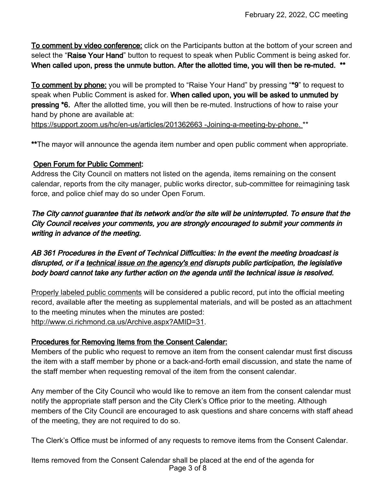To comment by video conference: click on the Participants button at the bottom of your screen and select the "Raise Your Hand" button to request to speak when Public Comment is being asked for. When called upon, press the unmute button. After the allotted time, you will then be re-muted. \*\*

To comment by phone: you will be prompted to "Raise Your Hand" by pressing "\*9" to request to speak when Public Comment is asked for. When called upon, you will be asked to unmuted by pressing \*6. After the allotted time, you will then be re-muted. Instructions of how to raise your hand by phone are available at:

[https://support.zoom.us/hc/en-us/articles/201362663 -Joining-a-meeting-by-phone.](https://support.zoom.us/hc/en-us/articles/201362663%20-Joining-a-meeting-by-phone.) \*\*

\*\*The mayor will announce the agenda item number and open public comment when appropriate.

### Open Forum for Public Comment:

Address the City Council on matters not listed on the agenda, items remaining on the consent calendar, reports from the city manager, public works director, sub-committee for reimagining task force, and police chief may do so under Open Forum.

The City cannot guarantee that its network and/or the site will be uninterrupted. To ensure that the City Council receives your comments, you are strongly encouraged to submit your comments in writing in advance of the meeting.

AB 361 Procedures in the Event of Technical Difficulties: In the event the meeting broadcast is disrupted, or if a technical issue on the agency's end disrupts public participation, the legislative body board cannot take any further action on the agenda until the technical issue is resolved.

Properly labeled public comments will be considered a public record, put into the official meeting record, available after the meeting as supplemental materials, and will be posted as an attachment to the meeting minutes when the minutes are posted: [http://www.ci.richmond.ca.us/Archive.aspx?AMID=31.](http://www.ci.richmond.ca.us/Archive.aspx?AMID=31)

### Procedures for Removing Items from the Consent Calendar:

Members of the public who request to remove an item from the consent calendar must first discuss the item with a staff member by phone or a back-and-forth email discussion, and state the name of the staff member when requesting removal of the item from the consent calendar.

Any member of the City Council who would like to remove an item from the consent calendar must notify the appropriate staff person and the City Clerk's Office prior to the meeting. Although members of the City Council are encouraged to ask questions and share concerns with staff ahead of the meeting, they are not required to do so.

The Clerk's Office must be informed of any requests to remove items from the Consent Calendar.

Items removed from the Consent Calendar shall be placed at the end of the agenda for Page 3 of 8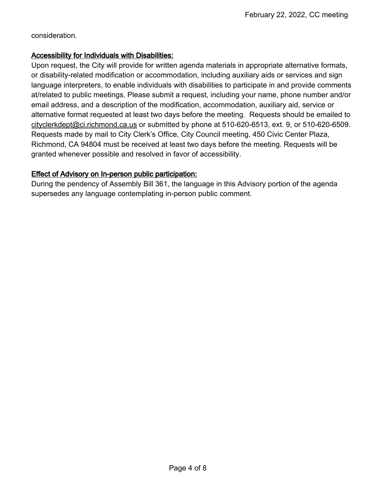consideration.

#### Accessibility for Individuals with Disabilities:

Upon request, the City will provide for written agenda materials in appropriate alternative formats, or disability-related modification or accommodation, including auxiliary aids or services and sign language interpreters, to enable individuals with disabilities to participate in and provide comments at/related to public meetings. Please submit a request, including your name, phone number and/or email address, and a description of the modification, accommodation, auxiliary aid, service or alternative format requested at least two days before the meeting. Requests should be emailed to [cityclerkdept@ci.richmond.ca.us](mailto:cityclerkdept@ci.richmond.ca.us) or submitted by phone at 510-620-6513, ext. 9, or 510-620-6509. Requests made by mail to City Clerk's Office, City Council meeting, 450 Civic Center Plaza, Richmond, CA 94804 must be received at least two days before the meeting. Requests will be granted whenever possible and resolved in favor of accessibility.

### Effect of Advisory on In-person public participation:

During the pendency of Assembly Bill 361, the language in this Advisory portion of the agenda supersedes any language contemplating in-person public comment.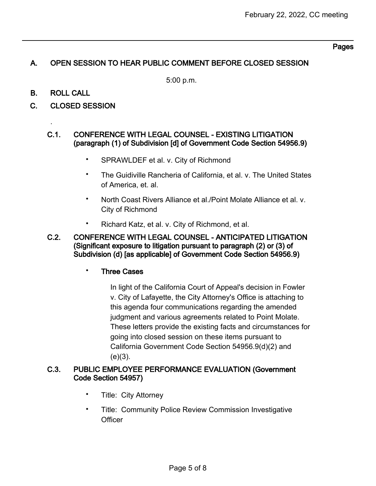#### Pages

## A. OPEN SESSION TO HEAR PUBLIC COMMENT BEFORE CLOSED SESSION

5:00 p.m.

B. ROLL CALL

.

C. CLOSED SESSION

#### C.1. CONFERENCE WITH LEGAL COUNSEL - EXISTING LITIGATION (paragraph (1) of Subdivision [d] of Government Code Section 54956.9)

- SPRAWLDEF et al. v. City of Richmond
- The Guidiville Rancheria of California, et al. v. The United States of America, et. al.
- North Coast Rivers Alliance et al./Point Molate Alliance et al. v. City of Richmond
- Richard Katz, et al. v. City of Richmond, et al.
- C.2. CONFERENCE WITH LEGAL COUNSEL ANTICIPATED LITIGATION (Significant exposure to litigation pursuant to paragraph (2) or (3) of Subdivision (d) [as applicable] of Government Code Section 54956.9)

### **Three Cases**

In light of the California Court of Appeal's decision in Fowler v. City of Lafayette, the City Attorney's Office is attaching to this agenda four communications regarding the amended judgment and various agreements related to Point Molate. These letters provide the existing facts and circumstances for going into closed session on these items pursuant to California Government Code Section 54956.9(d)(2) and  $(e)(3)$ .

#### C.3. PUBLIC EMPLOYEE PERFORMANCE EVALUATION (Government Code Section 54957)

- Title: City Attorney
- Title: Community Police Review Commission Investigative **Officer**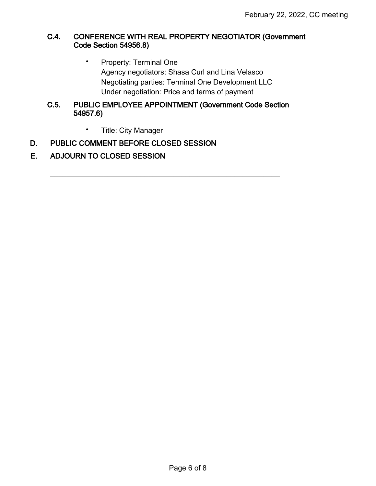### C.4. CONFERENCE WITH REAL PROPERTY NEGOTIATOR (Government Code Section 54956.8)

• Property: Terminal One Agency negotiators: Shasa Curl and Lina Velasco Negotiating parties: Terminal One Development LLC Under negotiation: Price and terms of payment

#### C.5. PUBLIC EMPLOYEE APPOINTMENT (Government Code Section 54957.6)

 $\mathcal{L}_\text{max}$  , and the contract of the contract of the contract of the contract of the contract of the contract of the contract of the contract of the contract of the contract of the contract of the contract of the contr

• Title: City Manager

### D. PUBLIC COMMENT BEFORE CLOSED SESSION

# E. ADJOURN TO CLOSED SESSION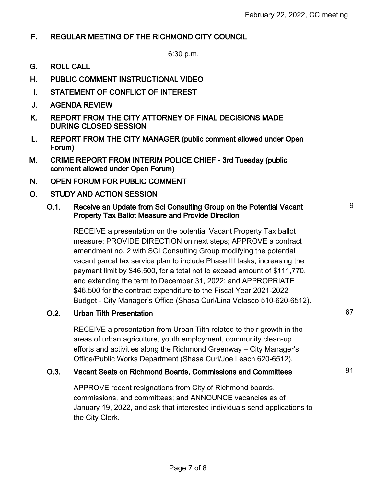# F. REGULAR MEETING OF THE RICHMOND CITY COUNCIL

6:30 p.m.

- G. ROLL CALL
- H. PUBLIC COMMENT INSTRUCTIONAL VIDEO
- I. STATEMENT OF CONFLICT OF INTEREST
- J. AGENDA REVIEW
- K. REPORT FROM THE CITY ATTORNEY OF FINAL DECISIONS MADE DURING CLOSED SESSION
- L. REPORT FROM THE CITY MANAGER (public comment allowed under Open Forum)
- M. CRIME REPORT FROM INTERIM POLICE CHIEF 3rd Tuesday (public comment allowed under Open Forum)
- N. OPEN FORUM FOR PUBLIC COMMENT
- O. STUDY AND ACTION SESSION

### O.1. Receive an Update from Sci Consulting Group on the Potential Vacant Property Tax Ballot Measure and Provide Direction

RECEIVE a presentation on the potential Vacant Property Tax ballot measure; PROVIDE DIRECTION on next steps; APPROVE a contract amendment no. 2 with SCI Consulting Group modifying the potential vacant parcel tax service plan to include Phase III tasks, increasing the payment limit by \$46,500, for a total not to exceed amount of \$111,770, and extending the term to December 31, 2022; and APPROPRIATE \$46,500 for the contract expenditure to the Fiscal Year 2021-2022 Budget - City Manager's Office (Shasa Curl/Lina Velasco 510-620-6512).

# O.2. Urban Tilth Presentation 67

RECEIVE a presentation from Urban Tilth related to their growth in the areas of urban agriculture, youth employment, community clean-up efforts and activities along the Richmond Greenway – City Manager's Office/Public Works Department (Shasa Curl/Joe Leach 620-6512).

### O.3. Vacant Seats on Richmond Boards, Commissions and Committees 91

APPROVE recent resignations from City of Richmond boards, commissions, and committees; and ANNOUNCE vacancies as of January 19, 2022, and ask that interested individuals send applications to the City Clerk.